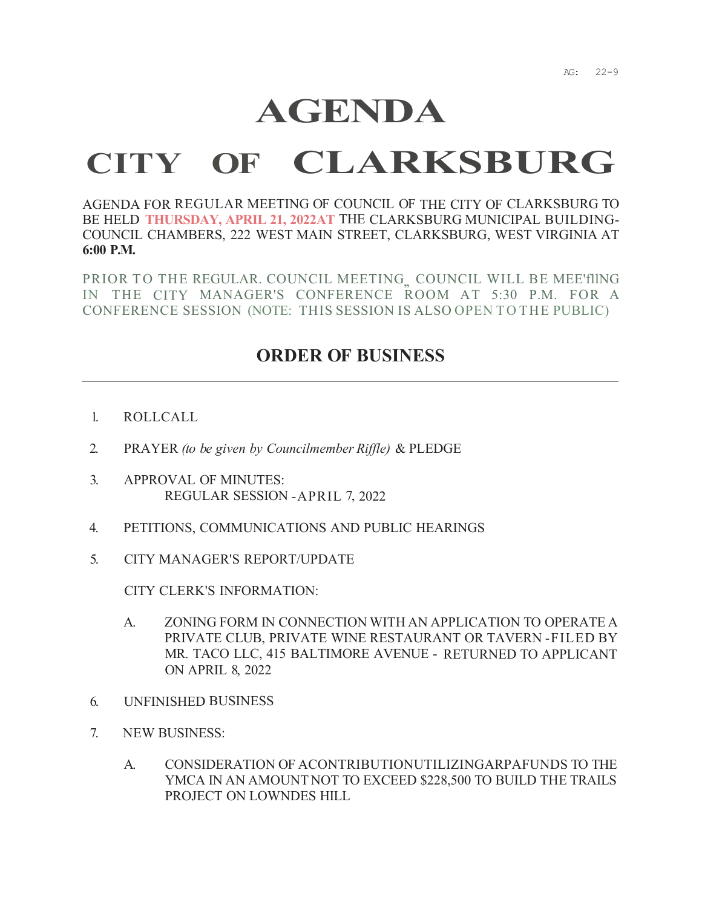## **AGENDA**

## **CITY OF CLARKSBURG**

AGENDA FOR REGULAR MEETING OF COUNCIL OF THE CITY OF CLARKSBURG TO BE HELD **THURSDAY, APRIL 21, 2022AT** THE CLARKSBURG MUNICIPAL BUILDING-COUNCIL CHAMBERS, 222 WEST MAIN STREET, CLARKSBURG, WEST VIRGINIA AT **6:00 P.M.** 

PRIOR TO THE REGULAR. COUNCIL MEETING, COUNCIL WILL BE MEE'flING IN THE CITY MANAGER'S CONFERENCE ROOM AT 5:30 P.M. FOR A CONFERENCE SESSION (NOTE: THIS SESSION IS ALSO OPEN TO THE PUBLIC)

## **ORDER OF BUSINESS**

- 1. ROLLCALL
- 2. PRAYER *(to be given by Councilmember Riffle)* & PLEDGE
- 3. APPROVAL OF MINUTES: REGULAR SESSION -APRIL 7, 2022
- 4. PETITIONS, COMMUNICATIONS AND PUBLIC HEARINGS
- 5. CITY MANAGER'S REPORT/UPDATE

CITY CLERK'S INFORMATION:

- A. ZONING FORM IN CONNECTION WITH AN APPLICATION TO OPERATE A PRIVATE CLUB, PRIVATE WINE RESTAURANT OR TAVERN -FILED BY MR. TACO LLC, 415 BALTIMORE AVENUE - RETURNED TO APPLICANT ON APRIL 8, 2022
- 6. UNFINISHED BUSINESS
- 7. NEW BUSINESS:
	- A. CONSIDERATION OF ACONTRIBUTIONUTILIZINGARPAFUNDS TO THE YMCA IN AN AMOUNT NOT TO EXCEED \$228,500 TO BUILD THE TRAILS PROJECT ON LOWNDES HILL